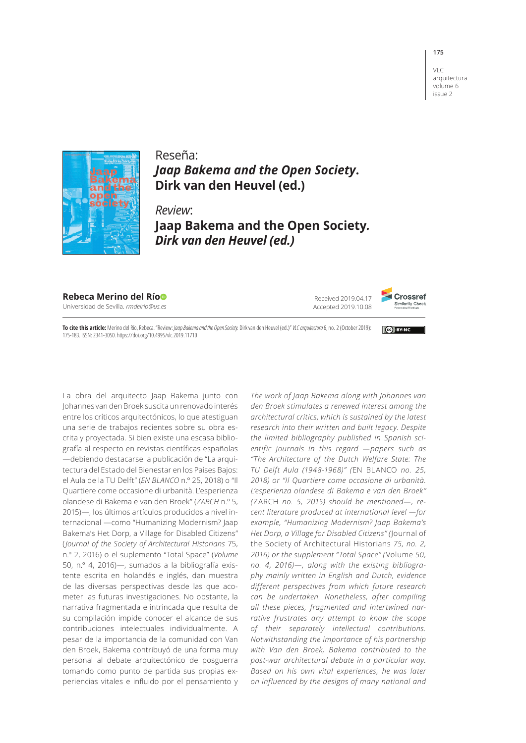## VLC arquitectura

**175**

volume 6 issue 2



## Reseña: *Jaap Bakema and the Open Society***. Dirk van den Heuvel (ed.)**

*Review*: **Jaap Bakema and the Open Society***. Dirk van den Heuvel (ed.)*

**Rebeca Merino del Rí[o](https://orcid.org/0000-0001-8415-4872)**

Universidad de Sevilla. *rmdelrio@us.es*

Received 2019.04.17 Accepted 2019.10.08



**Cell BY-NC** 

**To cite this article:** Merino del Río, Rebeca. "Review: *Jaap Bakema and the Open Society.* Dirk van den Heuvel (ed.)" *VLC arquitectura* 6, no. 2 (October 2019): 175-183. ISSN: 2341-3050. https://doi.org/10.4995/vlc.2019.11710

La obra del arquitecto Jaap Bakema junto con Johannes van den Broek suscita un renovado interés entre los críticos arquitectónicos, lo que atestiguan una serie de trabajos recientes sobre su obra escrita y proyectada. Si bien existe una escasa bibliografía al respecto en revistas científicas españolas —debiendo destacarse la publicación de "La arquitectura del Estado del Bienestar en los Países Bajos: el Aula de la TU Delft" (*EN BLANCO* n.º 25, 2018) o "Il Quartiere come occasione di urbanità. L'esperienza olandese di Bakema e van den Broek" (*ZARCH* n.º 5, 2015)—, los últimos artículos producidos a nivel internacional —como "Humanizing Modernism? Jaap Bakema's Het Dorp, a Village for Disabled Citizens" ( *Journal of the Society of Architectural Historians* 75, n.º 2, 2016) o el suplemento "Total Space" (*Volume* 50, n.º 4, 2016)—, sumados a la bibliografía existente escrita en holandés e inglés, dan muestra de las diversas perspectivas desde las que acometer las futuras investigaciones. No obstante, la narrativa fragmentada e intrincada que resulta de su compilación impide conocer el alcance de sus contribuciones intelectuales individualmente. A pesar de la importancia de la comunidad con Van den Broek, Bakema contribuyó de una forma muy personal al debate arquitectónico de posguerra tomando como punto de partida sus propias experiencias vitales e influido por el pensamiento y *The work of Jaap Bakema along with Johannes van den Broek stimulates a renewed interest among the architectural critics, which is sustained by the latest research into their written and built legacy. Despite the limited bibliography published in Spanish scientific journals in this regard —papers such as "The Architecture of the Dutch Welfare State: The TU Delft Aula (1948-1968)" (*EN BLANCO *no. 25, 2018) or "Il Quartiere come occasione di urbanità. L'esperienza olandese di Bakema e van den Broek" (*ZARCH *no. 5, 2015) should be mentioned—, recent literature produced at international level —for example, "Humanizing Modernism? Jaap Bakema's Het Dorp, a Village for Disabled Citizens" (*Journal of the Society of Architectural Historians *75, no. 2, 2016) or the supplement "Total Space" (*Volume *50, no. 4, 2016)—, along with the existing bibliography mainly written in English and Dutch, evidence different perspectives from which future research can be undertaken. Nonetheless, after compiling all these pieces, fragmented and intertwined narrative frustrates any attempt to know the scope of their separately intellectual contributions. Notwithstanding the importance of his partnership with Van den Broek, Bakema contributed to the post-war architectural debate in a particular way. Based on his own vital experiences, he was later on influenced by the designs of many national and*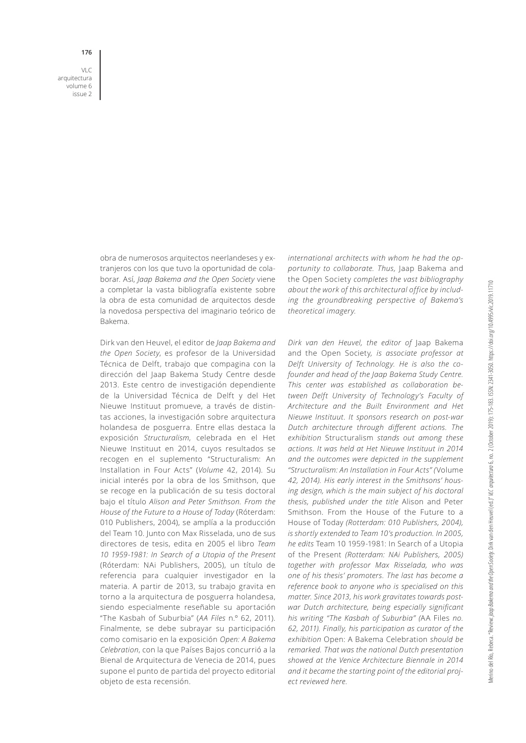VLC arquitectura volume 6

issue 2

**176**

obra de numerosos arquitectos neerlandeses y extranjeros con los que tuvo la oportunidad de colaborar. Así, *Jaap Bakema and the Open Society* viene a completar la vasta bibliografía existente sobre la obra de esta comunidad de arquitectos desde la novedosa perspectiva del imaginario teórico de Bakema.

Dirk van den Heuvel, el editor de *Jaap Bakema and the Open Society*, es profesor de la Universidad Técnica de Delft, trabajo que compagina con la dirección del Jaap Bakema Study Centre desde 2013. Este centro de investigación dependiente de la Universidad Técnica de Delft y del Het Nieuwe Instituut promueve, a través de distintas acciones, la investigación sobre arquitectura holandesa de posguerra. Entre ellas destaca la exposición *Structuralism*, celebrada en el Het Nieuwe Instituut en 2014, cuyos resultados se recogen en el suplemento "Structuralism: An Installation in Four Acts" (*Volume* 42, 2014). Su inicial interés por la obra de los Smithson, que se recoge en la publicación de su tesis doctoral bajo el título *Alison and Peter Smithson. From the House of the Future to a House of Today* (Róterdam: 010 Publishers, 2004), se amplía a la producción del Team 10. Junto con Max Risselada, uno de sus directores de tesis, edita en 2005 el libro *Team 10 1959-1981: In Search of a Utopia of the Present* (Róterdam: NAi Publishers, 2005), un título de referencia para cualquier investigador en la materia. A partir de 2013, su trabajo gravita en torno a la arquitectura de posguerra holandesa, siendo especialmente reseñable su aportación "The Kasbah of Suburbia" (*AA Files* n.º 62, 2011). Finalmente, se debe subrayar su participación como comisario en la exposición *Open: A Bakema Celebration*, con la que Países Bajos concurrió a la Bienal de Arquitectura de Venecia de 2014, pues supone el punto de partida del proyecto editorial objeto de esta recensión.

*international architects with whom he had the opportunity to collaborate. Thus,* Jaap Bakema and the Open Society *completes the vast bibliography about the work of this architectural office by including the groundbreaking perspective of Bakema's theoretical imagery.*

*Dirk van den Heuvel, the editor of* Jaap Bakema and the Open Society*, is associate professor at Delft University of Technology. He is also the cofounder and head of the Jaap Bakema Study Centre. This center was established as collaboration between Delft University of Technology's Faculty of Architecture and the Built Environment and Het Nieuwe Instituut*. *It sponsors research on post-war Dutch architecture through different actions. The exhibition* Structuralism *stands out among these actions. It was held at Het Nieuwe Instituut in 2014 and the outcomes were depicted in the supplement "Structuralism: An Installation in Four Acts" (*Volume *42, 2014). His early interest in the Smithsons' housing design, which is the main subject of his doctoral thesis, published under the title* Alison and Peter Smithson. From the House of the Future to a House of Today *(Rotterdam: 010 Publishers, 2004), is shortly extended to Team 10's production. In 2005, he edits* Team 10 1959-1981: In Search of a Utopia of the Present *(Rotterdam: NAi Publishers, 2005) together with professor Max Risselada, who was one of his thesis' promoters. The last has become a reference book to anyone who is specialised on this matter. Since 2013, his work gravitates towards postwar Dutch architecture, being especially significant his writing "The Kasbah of Suburbia" (*AA Files *no. 62, 2011). Finally, his participation as curator of the exhibition* Open: A Bakema Celebration *should be remarked. That was the national Dutch presentation showed at the Venice Architecture Biennale in 2014 and it became the starting point of the editorial project reviewed here.*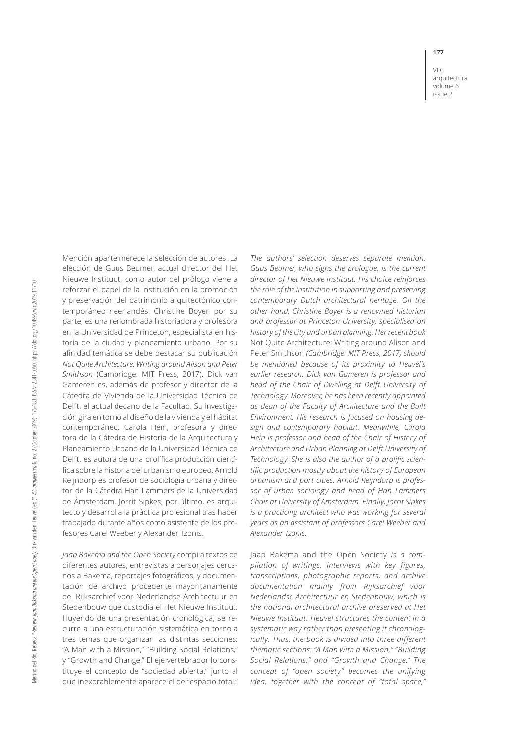VLC arquitectura volume 6 issue 2

Mención aparte merece la selección de autores. La elección de Guus Beumer, actual director del Het Nieuwe Instituut, como autor del prólogo viene a reforzar el papel de la institución en la promoción y preservación del patrimonio arquitectónico contemporáneo neerlandés. Christine Boyer, por su parte, es una renombrada historiadora y profesora en la Universidad de Princeton, especialista en historia de la ciudad y planeamiento urbano. Por su afinidad temática se debe destacar su publicación *Not Quite Architecture: Writing around Alison and Peter Smithson* (Cambridge: MIT Press, 2017). Dick van Gameren es, además de profesor y director de la Cátedra de Vivienda de la Universidad Técnica de Delft, el actual decano de la Facultad. Su investigación gira en torno al diseño de la vivienda y el hábitat contemporáneo. Carola Hein, profesora y directora de la Cátedra de Historia de la Arquitectura y Planeamiento Urbano de la Universidad Técnica de Delft, es autora de una prolífica producción científica sobre la historia del urbanismo europeo. Arnold Reijndorp es profesor de sociología urbana y director de la Cátedra Han Lammers de la Universidad de Ámsterdam. Jorrit Sipkes, por último, es arquitecto y desarrolla la práctica profesional tras haber trabajado durante años como asistente de los profesores Carel Weeber y Alexander Tzonis.

*Jaap Bakema and the Open Society* compila textos de diferentes autores, entrevistas a personajes cercanos a Bakema, reportajes fotográficos, y documentación de archivo procedente mayoritariamente del Rijksarchief voor Nederlandse Architectuur en Stedenbouw que custodia el Het Nieuwe Instituut. Huyendo de una presentación cronológica, se recurre a una estructuración sistemática en torno a tres temas que organizan las distintas secciones: "A Man with a Mission," "Building Social Relations," y "Growth and Change." El eje vertebrador lo constituye el concepto de "sociedad abierta," junto al que inexorablemente aparece el de "espacio total."

*The authors' selection deserves separate mention. Guus Beumer, who signs the prologue, is the current director of Het Nieuwe Instituut. His choice reinforces the role of the institution in supporting and preserving contemporary Dutch architectural heritage. On the other hand, Christine Boyer is a renowned historian and professor at Princeton University, specialised on history of the city and urban planning. Her recent book*  Not Quite Architecture: Writing around Alison and Peter Smithson *(Cambridge: MIT Press, 2017) should be mentioned because of its proximity to Heuvel's earlier research. Dick van Gameren is professor and head of the Chair of Dwelling at Delft University of Technology. Moreover, he has been recently appointed as dean of the Faculty of Architecture and the Built Environment. His research is focused on housing design and contemporary habitat. Meanwhile, Carola Hein is professor and head of the Chair of History of Architecture and Urban Planning at Delft University of Technology. She is also the author of a prolific scientific production mostly about the history of European urbanism and port cities. Arnold Reijndorp is professor of urban sociology and head of Han Lammers Chair at University of Amsterdam. Finally, Jorrit Sipkes is a practicing architect who was working for several years as an assistant of professors Carel Weeber and Alexander Tzonis.*

Jaap Bakema and the Open Society *is a compilation of writings, interviews with key figures, transcriptions, photographic reports, and archive documentation mainly from Rijksarchief voor Nederlandse Architectuur en Stedenbouw*, *which is the national architectural archive preserved at Het Nieuwe Instituut. Heuvel structures the content in a systematic way rather than presenting it chronologically. Thus, the book is divided into three different thematic sections: "A Man with a Mission," "Building Social Relations," and "Growth and Change." The concept of "open society" becomes the unifying idea, together with the concept of "total space,"*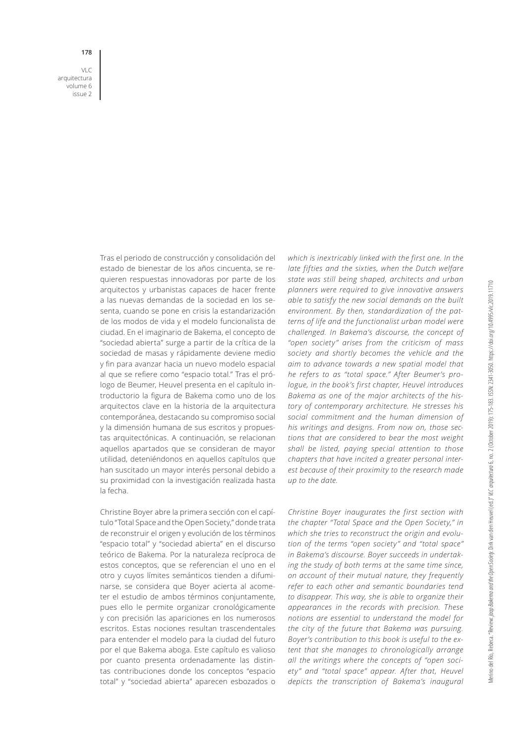VLC arquitectura volume 6 issue 2

**178**

Tras el periodo de construcción y consolidación del estado de bienestar de los años cincuenta, se requieren respuestas innovadoras por parte de los arquitectos y urbanistas capaces de hacer frente a las nuevas demandas de la sociedad en los sesenta, cuando se pone en crisis la estandarización de los modos de vida y el modelo funcionalista de ciudad. En el imaginario de Bakema, el concepto de "sociedad abierta" surge a partir de la crítica de la sociedad de masas y rápidamente deviene medio y fin para avanzar hacia un nuevo modelo espacial al que se refiere como "espacio total." Tras el prólogo de Beumer, Heuvel presenta en el capítulo introductorio la figura de Bakema como uno de los arquitectos clave en la historia de la arquitectura contemporánea, destacando su compromiso social y la dimensión humana de sus escritos y propuestas arquitectónicas. A continuación, se relacionan aquellos apartados que se consideran de mayor utilidad, deteniéndonos en aquellos capítulos que han suscitado un mayor interés personal debido a su proximidad con la investigación realizada hasta la fecha.

Christine Boyer abre la primera sección con el capítulo "Total Space and the Open Society," donde trata de reconstruir el origen y evolución de los términos "espacio total" y "sociedad abierta" en el discurso teórico de Bakema. Por la naturaleza recíproca de estos conceptos, que se referencian el uno en el otro y cuyos límites semánticos tienden a difuminarse, se considera que Boyer acierta al acometer el estudio de ambos términos conjuntamente, pues ello le permite organizar cronológicamente y con precisión las apariciones en los numerosos escritos. Estas nociones resultan trascendentales para entender el modelo para la ciudad del futuro por el que Bakema aboga. Este capítulo es valioso por cuanto presenta ordenadamente las distintas contribuciones donde los conceptos "espacio total" y "sociedad abierta" aparecen esbozados o

*which is inextricably linked with the first one. In the late fifties and the sixties, when the Dutch welfare state was still being shaped, architects and urban planners were required to give innovative answers able to satisfy the new social demands on the built environment. By then, standardization of the patterns of life and the functionalist urban model were challenged. In Bakema's discourse, the concept of "open society" arises from the criticism of mass society and shortly becomes the vehicle and the aim to advance towards a new spatial model that he refers to as "total space." After Beumer's prologue, in the book's first chapter, Heuvel introduces Bakema as one of the major architects of the history of contemporary architecture. He stresses his social commitment and the human dimension of his writings and designs. From now on, those sections that are considered to bear the most weight shall be listed, paying special attention to those chapters that have incited a greater personal interest because of their proximity to the research made up to the date.*

*Christine Boyer inaugurates the first section with the chapter "Total Space and the Open Society," in which she tries to reconstruct the origin and evolution of the terms "open society" and "total space" in Bakema's discourse. Boyer succeeds in undertaking the study of both terms at the same time since, on account of their mutual nature, they frequently refer to each other and semantic boundaries tend to disappear. This way, she is able to organize their appearances in the records with precision. These notions are essential to understand the model for the city of the future that Bakema was pursuing. Boyer's contribution to this book is useful to the extent that she manages to chronologically arrange all the writings where the concepts of "open society" and "total space" appear. After that, Heuvel depicts the transcription of Bakema's inaugural*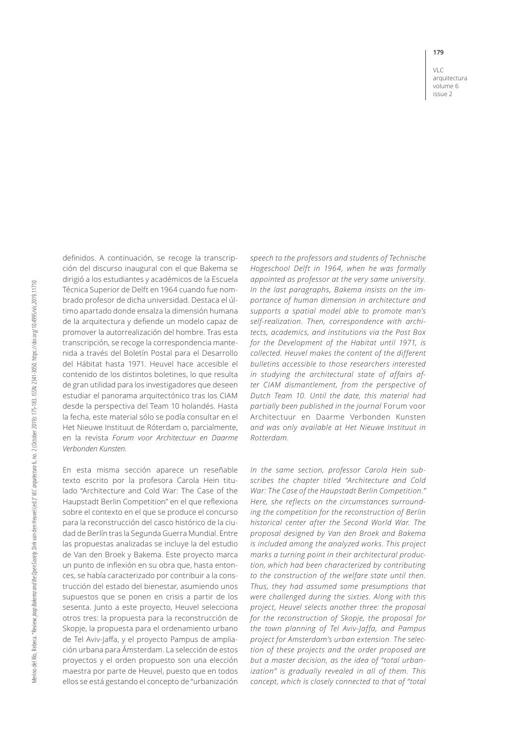VLC arquitectura volume 6 issue 2

definidos. A continuación, se recoge la transcripción del discurso inaugural con el que Bakema se dirigió a los estudiantes y académicos de la Escuela Técnica Superior de Delft en 1964 cuando fue nombrado profesor de dicha universidad. Destaca el último apartado donde ensalza la dimensión humana de la arquitectura y defiende un modelo capaz de promover la autorrealización del hombre. Tras esta transcripción, se recoge la correspondencia mantenida a través del Boletín Postal para el Desarrollo del Hábitat hasta 1971. Heuvel hace accesible el contenido de los distintos boletines, lo que resulta de gran utilidad para los investigadores que deseen estudiar el panorama arquitectónico tras los CIAM desde la perspectiva del Team 10 holandés. Hasta la fecha, este material sólo se podía consultar en el Het Nieuwe Instituut de Róterdam o, parcialmente, en la revista *Forum voor Architectuur en Daarme Verbonden Kunsten*.

En esta misma sección aparece un reseñable texto escrito por la profesora Carola Hein titulado "Architecture and Cold War: The Case of the Haupstadt Berlin Competition" en el que reflexiona sobre el contexto en el que se produce el concurso para la reconstrucción del casco histórico de la ciudad de Berlín tras la Segunda Guerra Mundial. Entre las propuestas analizadas se incluye la del estudio de Van den Broek y Bakema. Este proyecto marca un punto de inflexión en su obra que, hasta entonces, se había caracterizado por contribuir a la construcción del estado del bienestar, asumiendo unos supuestos que se ponen en crisis a partir de los sesenta. Junto a este proyecto, Heuvel selecciona otros tres: la propuesta para la reconstrucción de Skopje, la propuesta para el ordenamiento urbano de Tel Aviv-Jaffa, y el proyecto Pampus de ampliación urbana para Ámsterdam. La selección de estos proyectos y el orden propuesto son una elección maestra por parte de Heuvel, puesto que en todos ellos se está gestando el concepto de "urbanización

*speech to the professors and students of Technische Hogeschool Delft in 1964, when he was formally appointed as professor at the very same university. In the last paragraphs, Bakema insists on the importance of human dimension in architecture and supports a spatial model able to promote man's self-realization. Then, correspondence with architects, academics, and institutions via the Post Box for the Development of the Habitat until 1971, is collected. Heuvel makes the content of the different bulletins accessible to those researchers interested in studying the architectural state of affairs after CIAM dismantlement, from the perspective of Dutch Team 10. Until the date, this material had partially been published in the journal* Forum voor Architectuur en Daarme Verbonden Kunsten *and was only available at Het Nieuwe Instituut in Rotterdam.*

*In the same section, professor Carola Hein subscribes the chapter titled "Architecture and Cold War: The Case of the Haupstadt Berlin Competition." Here, she reflects on the circumstances surrounding the competition for the reconstruction of Berlin historical center after the Second World War. The proposal designed by Van den Broek and Bakema is included among the analyzed works. This project marks a turning point in their architectural production, which had been characterized by contributing to the construction of the welfare state until then. Thus, they had assumed some presumptions that were challenged during the sixties. Along with this project, Heuvel selects another three: the proposal for the reconstruction of Skopje, the proposal for the town planning of Tel Aviv-Jaffa, and Pampus project for Amsterdam's urban extension. The selection of these projects and the order proposed are but a master decision, as the idea of "total urbanization" is gradually revealed in all of them. This concept, which is closely connected to that of "total*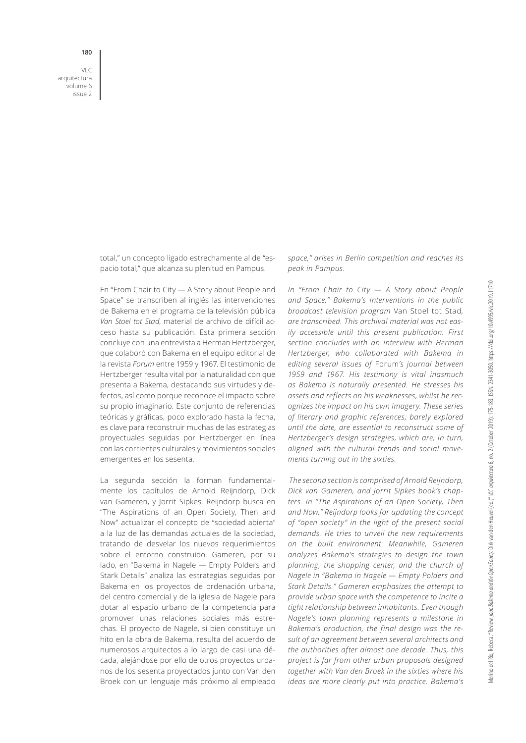VLC arquitectura volume 6 issue 2

> total," un concepto ligado estrechamente al de "espacio total," que alcanza su plenitud en Pampus.

> En "From Chair to City — A Story about People and Space" se transcriben al inglés las intervenciones de Bakema en el programa de la televisión pública *Van Stoel tot Stad*, material de archivo de difícil acceso hasta su publicación. Esta primera sección concluye con una entrevista a Herman Hertzberger, que colaboró con Bakema en el equipo editorial de la revista *Forum* entre 1959 y 1967. El testimonio de Hertzberger resulta vital por la naturalidad con que presenta a Bakema, destacando sus virtudes y defectos, así como porque reconoce el impacto sobre su propio imaginario. Este conjunto de referencias teóricas y gráficas, poco explorado hasta la fecha, es clave para reconstruir muchas de las estrategias proyectuales seguidas por Hertzberger en línea con las corrientes culturales y movimientos sociales emergentes en los sesenta.

> La segunda sección la forman fundamentalmente los capítulos de Arnold Reijndorp, Dick van Gameren, y Jorrit Sipkes. Reijndorp busca en "The Aspirations of an Open Society, Then and Now" actualizar el concepto de "sociedad abierta" a la luz de las demandas actuales de la sociedad, tratando de desvelar los nuevos requerimientos sobre el entorno construido. Gameren, por su lado, en "Bakema in Nagele — Empty Polders and Stark Details" analiza las estrategias seguidas por Bakema en los proyectos de ordenación urbana, del centro comercial y de la iglesia de Nagele para dotar al espacio urbano de la competencia para promover unas relaciones sociales más estrechas. El proyecto de Nagele, si bien constituye un hito en la obra de Bakema, resulta del acuerdo de numerosos arquitectos a lo largo de casi una década, alejándose por ello de otros proyectos urbanos de los sesenta proyectados junto con Van den Broek con un lenguaje más próximo al empleado

*space," arises in Berlin competition and reaches its peak in Pampus.*

*In "From Chair to City — A Story about People and Space," Bakema's interventions in the public broadcast television program* Van Stoel tot Stad*, are transcribed. This archival material was not easily accessible until this present publication. First section concludes with an interview with Herman Hertzberger, who collaborated with Bakema in editing several issues of* Forum*'s journal between 1959 and 1967. His testimony is vital inasmuch as Bakema is naturally presented. He stresses his assets and reflects on his weaknesses, whilst he recognizes the impact on his own imagery. These series of literary and graphic references, barely explored until the date, are essential to reconstruct some of Hertzberger's design strategies, which are, in turn, aligned with the cultural trends and social movements turning out in the sixties.*

 *The second section is comprised of Arnold Reijndorp, Dick van Gameren, and Jorrit Sipkes book's chapters. In "The Aspirations of an Open Society, Then and Now," Reijndorp looks for updating the concept of "open society" in the light of the present social demands. He tries to unveil the new requirements on the built environment. Meanwhile, Gameren analyzes Bakema's strategies to design the town planning, the shopping center, and the church of Nagele in "Bakema in Nagele — Empty Polders and Stark Details." Gameren emphasizes the attempt to provide urban space with the competence to incite a tight relationship between inhabitants. Even though Nagele's town planning represents a milestone in Bakema's production, the final design was the result of an agreement between several architects and the authorities after almost one decade. Thus, this project is far from other urban proposals designed together with Van den Broek in the sixties where his ideas are more clearly put into practice. Bakema's*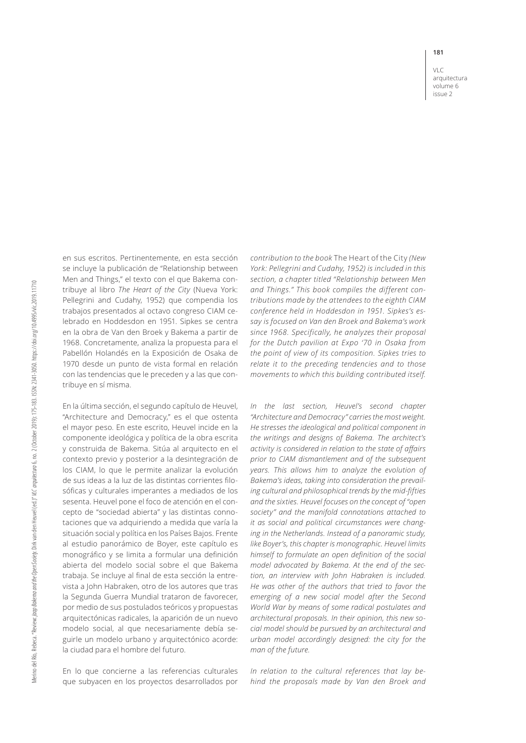VLC arquitectura volume 6 issue 2

en sus escritos. Pertinentemente, en esta sección se incluye la publicación de "Relationship between Men and Things," el texto con el que Bakema contribuye al libro *The Heart of the City* (Nueva York: Pellegrini and Cudahy, 1952) que compendia los trabajos presentados al octavo congreso CIAM celebrado en Hoddesdon en 1951. Sipkes se centra en la obra de Van den Broek y Bakema a partir de 1968. Concretamente, analiza la propuesta para el Pabellón Holandés en la Exposición de Osaka de 1970 desde un punto de vista formal en relación con las tendencias que le preceden y a las que contribuye en sí misma.

En la última sección, el segundo capítulo de Heuvel, "Architecture and Democracy," es el que ostenta el mayor peso. En este escrito, Heuvel incide en la componente ideológica y política de la obra escrita y construida de Bakema. Sitúa al arquitecto en el contexto previo y posterior a la desintegración de los CIAM, lo que le permite analizar la evolución de sus ideas a la luz de las distintas corrientes filosóficas y culturales imperantes a mediados de los sesenta. Heuvel pone el foco de atención en el concepto de "sociedad abierta" y las distintas connotaciones que va adquiriendo a medida que varía la situación social y política en los Países Bajos. Frente al estudio panorámico de Boyer, este capítulo es monográfico y se limita a formular una definición abierta del modelo social sobre el que Bakema trabaja. Se incluye al final de esta sección la entrevista a John Habraken, otro de los autores que tras la Segunda Guerra Mundial trataron de favorecer, por medio de sus postulados teóricos y propuestas arquitectónicas radicales, la aparición de un nuevo modelo social, al que necesariamente debía seguirle un modelo urbano y arquitectónico acorde: la ciudad para el hombre del futuro.

En lo que concierne a las referencias culturales que subyacen en los proyectos desarrollados por

*contribution to the book* The Heart of the City *(New York: Pellegrini and Cudahy, 1952) is included in this section, a chapter titled "Relationship between Men and Things." This book compiles the different contributions made by the attendees to the eighth CIAM conference held in Hoddesdon in 1951. Sipkes's essay is focused on Van den Broek and Bakema's work since 1968. Specifically, he analyzes their proposal for the Dutch pavilion at Expo '70 in Osaka from the point of view of its composition. Sipkes tries to relate it to the preceding tendencies and to those movements to which this building contributed itself.*

*In the last section, Heuvel's second chapter "Architecture and Democracy" carries the most weight. He stresses the ideological and political component in the writings and designs of Bakema. The architect's activity is considered in relation to the state of affairs prior to CIAM dismantlement and of the subsequent years. This allows him to analyze the evolution of Bakema's ideas, taking into consideration the prevailing cultural and philosophical trends by the mid-fifties and the sixties. Heuvel focuses on the concept of "open society" and the manifold connotations attached to it as social and political circumstances were changing in the Netherlands. Instead of a panoramic study, like Boyer's, this chapter is monographic. Heuvel limits himself to formulate an open definition of the social model advocated by Bakema. At the end of the section, an interview with John Habraken is included. He was other of the authors that tried to favor the emerging of a new social model after the Second World War by means of some radical postulates and architectural proposals. In their opinion, this new social model should be pursued by an architectural and urban model accordingly designed: the city for the man of the future.* 

*In relation to the cultural references that lay behind the proposals made by Van den Broek and*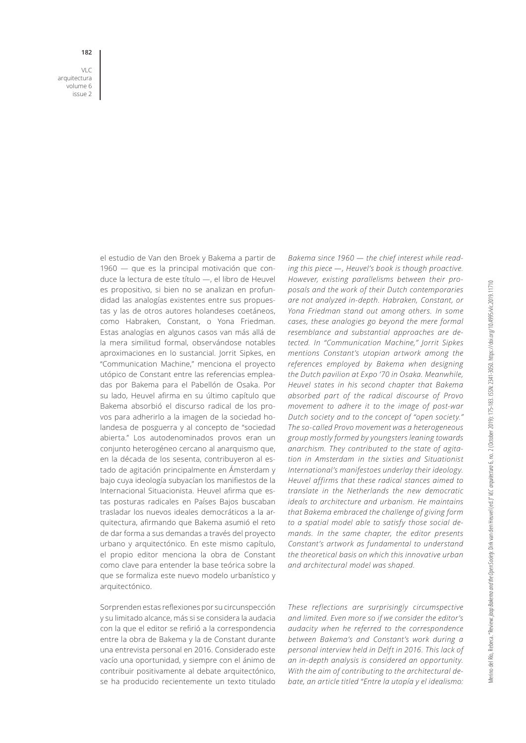VLC arquitectura volume 6 issue 2

**182**

el estudio de Van den Broek y Bakema a partir de 1960 — que es la principal motivación que conduce la lectura de este título —, el libro de Heuvel es propositivo, si bien no se analizan en profundidad las analogías existentes entre sus propuestas y las de otros autores holandeses coetáneos, como Habraken, Constant, o Yona Friedman. Estas analogías en algunos casos van más allá de la mera similitud formal, observándose notables aproximaciones en lo sustancial. Jorrit Sipkes, en "Communication Machine," menciona el proyecto utópico de Constant entre las referencias empleadas por Bakema para el Pabellón de Osaka. Por su lado, Heuvel afirma en su último capítulo que Bakema absorbió el discurso radical de los provos para adherirlo a la imagen de la sociedad holandesa de posguerra y al concepto de "sociedad abierta." Los autodenominados provos eran un conjunto heterogéneo cercano al anarquismo que, en la década de los sesenta, contribuyeron al estado de agitación principalmente en Ámsterdam y bajo cuya ideología subyacían los manifiestos de la Internacional Situacionista. Heuvel afirma que estas posturas radicales en Países Bajos buscaban trasladar los nuevos ideales democráticos a la arquitectura, afirmando que Bakema asumió el reto de dar forma a sus demandas a través del proyecto urbano y arquitectónico. En este mismo capítulo, el propio editor menciona la obra de Constant como clave para entender la base teórica sobre la que se formaliza este nuevo modelo urbanístico y arquitectónico.

Sorprenden estas reflexiones por su circunspección y su limitado alcance, más si se considera la audacia con la que el editor se refirió a la correspondencia entre la obra de Bakema y la de Constant durante una entrevista personal en 2016. Considerado este vacío una oportunidad, y siempre con el ánimo de contribuir positivamente al debate arquitectónico, se ha producido recientemente un texto titulado

*Bakema since 1960 — the chief interest while reading this piece —, Heuvel's book is though proactive. However, existing parallelisms between their proposals and the work of their Dutch contemporaries are not analyzed in-depth. Habraken, Constant, or Yona Friedman stand out among others. In some cases, these analogies go beyond the mere formal resemblance and substantial approaches are detected. In "Communication Machine," Jorrit Sipkes mentions Constant's utopian artwork among the references employed by Bakema when designing the Dutch pavilion at Expo '70 in Osaka. Meanwhile, Heuvel states in his second chapter that Bakema absorbed part of the radical discourse of Provo movement to adhere it to the image of post-war Dutch society and to the concept of "open society." The so-called Provo movement was a heterogeneous group mostly formed by youngsters leaning towards anarchism. They contributed to the state of agitation in Amsterdam in the sixties and Situationist International's manifestoes underlay their ideology. Heuvel affirms that these radical stances aimed to translate in the Netherlands the new democratic ideals to architecture and urbanism. He maintains that Bakema embraced the challenge of giving form to a spatial model able to satisfy those social demands. In the same chapter, the editor presents Constant's artwork as fundamental to understand the theoretical basis on which this innovative urban and architectural model was shaped.*

*These reflections are surprisingly circumspective and limited. Even more so if we consider the editor's audacity when he referred to the correspondence between Bakema's and Constant's work during a personal interview held in Delft in 2016. This lack of an in-depth analysis is considered an opportunity. With the aim of contributing to the architectural debate, an article titled "Entre la utopía y el idealismo:*